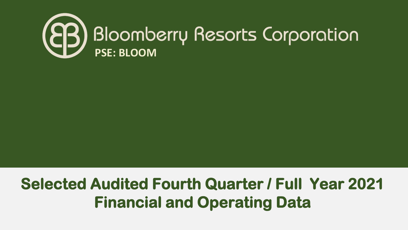

## **Selected Audited Fourth Quarter / Full Year 2021 Financial and Operating Data**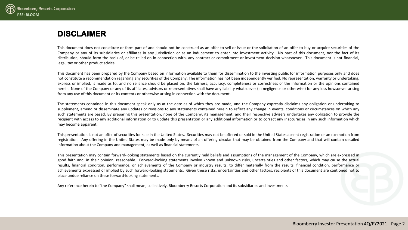

#### **DISCLAIMER**

This document does not constitute or form part of and should not be construed as an offer to sell or issue or the solicitation of an offer to buy or acquire securities of the Company or any of its subsidiaries or affiliates in any jurisdiction or as an inducement to enter into investment activity. No part of this document, nor the fact of its distribution, should form the basis of, or be relied on in connection with, any contract or commitment or investment decision whatsoever. This document is not financial, legal, tax or other product advice.

This document has been prepared by the Company based on information available to them for dissemination to the investing public for information purposes only and does not constitute a recommendation regarding any securities of the Company. The information has not been independently verified. No representation, warranty or undertaking, express or implied, is made as to, and no reliance should be placed on, the fairness, accuracy, completeness or correctness of the information or the opinions contained herein. None of the Company or any of its affiliates, advisors or representatives shall have any liability whatsoever (in negligence or otherwise) for any loss howsoever arising from any use of this document or its contents or otherwise arising in connection with the document.

The statements contained in this document speak only as at the date as of which they are made, and the Company expressly disclaims any obligation or undertaking to supplement, amend or disseminate any updates or revisions to any statements contained herein to reflect any change in events, conditions or circumstances on which any such statements are based. By preparing this presentation, none of the Company, its management, and their respective advisers undertakes any obligation to provide the recipient with access to any additional information or to update this presentation or any additional information or to correct any inaccuracies in any such information which may become apparent.

This presentation is not an offer of securities for sale in the United States. Securities may not be offered or sold in the United States absent registration or an exemption from registration. Any offering in the United States may be made only by means of an offering circular that may be obtained from the Company and that will contain detailed information about the Company and management, as well as financial statements.

This presentation may contain forward-looking statements based on the currently held beliefs and assumptions of the management of the Company, which are expressed in good faith and, in their opinion, reasonable. Forward-looking statements involve known and unknown risks, uncertainties and other factors, which may cause the actual results, financial condition, performance, or achievements of the Company or industry results, to differ materially from the results, financial condition, performance or achievements expressed or implied by such forward-looking statements. Given these risks, uncertainties and other factors, recipients of this document are cautioned not to place undue reliance on these forward-looking statements.

Any reference herein to "the Company" shall mean, collectively, Bloomberry Resorts Corporation and its subsidiaries and investments.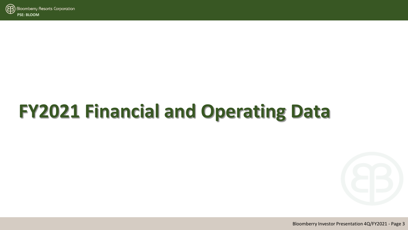

# **FY2021 Financial and Operating Data**

Bloomberry Investor Presentation 4Q/FY2021 - Page 3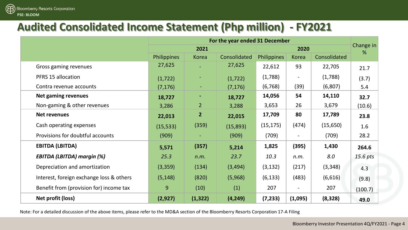#### **Audited Consolidated Income Statement (Php million) - FY2021**

|                                          | For the year ended 31 December |                |              |             |              |              |                |
|------------------------------------------|--------------------------------|----------------|--------------|-------------|--------------|--------------|----------------|
|                                          | 2021                           |                |              | 2020        |              |              | Change in<br>% |
|                                          | <b>Philippines</b>             | Korea          | Consolidated | Philippines | <b>Korea</b> | Consolidated |                |
| Gross gaming revenues                    | 27,625                         |                | 27,625       | 22,612      | 93           | 22,705       | 21.7           |
| <b>PFRS 15 allocation</b>                | (1, 722)                       |                | (1, 722)     | (1,788)     |              | (1,788)      | (3.7)          |
| Contra revenue accounts                  | (7, 176)                       | $\blacksquare$ | (7, 176)     | (6, 768)    | (39)         | (6,807)      | 5.4            |
| <b>Net gaming revenues</b>               | 18,727                         | $\blacksquare$ | 18,727       | 14,056      | 54           | 14,110       | 32.7           |
| Non-gaming & other revenues              | 3,286                          | $\overline{2}$ | 3,288        | 3,653       | 26           | 3,679        | (10.6)         |
| <b>Net revenues</b>                      | 22,013                         | $\overline{2}$ | 22,015       | 17,709      | 80           | 17,789       | 23.8           |
| Cash operating expenses                  | (15, 533)                      | (359)          | (15,893)     | (15, 175)   | (474)        | (15, 650)    | 1.6            |
| Provisions for doubtful accounts         | (909)                          | $\blacksquare$ | (909)        | (709)       |              | (709)        | 28.2           |
| <b>EBITDA (LBITDA)</b>                   | 5,571                          | (357)          | 5,214        | 1,825       | (395)        | 1,430        | 264.6          |
| <b>EBITDA (LBITDA) margin (%)</b>        | 25.3                           | n.m.           | 23.7         | 10.3        | n.m.         | 8.0          | 15.6 pts       |
| Depreciation and amortization            | (3,359)                        | (134)          | (3,494)      | (3, 132)    | (217)        | (3, 348)     | 4.3            |
| Interest, foreign exchange loss & others | (5, 148)                       | (820)          | (5,968)      | (6, 133)    | (483)        | (6,616)      | (9.8)          |
| Benefit from (provision for) income tax  | 9                              | (10)           | (1)          | 207         |              | 207          | (100.7)        |
| Net profit (loss)                        | (2,927)                        | (1, 322)       | (4, 249)     | (7, 233)    | (1,095)      | (8, 328)     | 49.0           |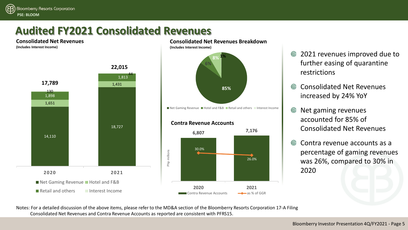#### **Audited FY2021 Consolidated Revenues**

**Consolidated Net Revenues (Includes Interest Income)**





- ௵ 2021 revenues improved due to further easing of quarantine restrictions
- **®** Consolidated Net Revenues increased by 24% YoY
- ⊕ Net gaming revenues accounted for 85% of Consolidated Net Revenues
- **®** Contra revenue accounts as a percentage of gaming revenues was 26%, compared to 30% in 2020

Notes: For a detailed discussion of the above items, please refer to the MD&A section of the Bloomberry Resorts Corporation 17-A Filing Consolidated Net Revenues and Contra Revenue Accounts as reported are consistent with PFRS15.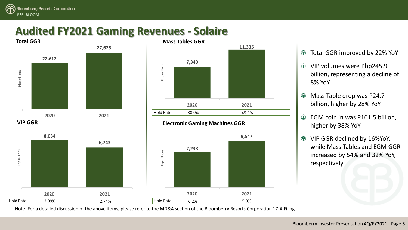#### **Audited FY2021 Gaming Revenues - Solaire**



- ⊕ Total GGR improved by 22% YoY
- ⊕ VIP volumes were Php245.9 billion, representing a decline of 8% YoY
- ⊕ Mass Table drop was P24.7 billion, higher by 28% YoY
- ௵ EGM coin in was P161.5 billion, higher by 38% YoY
- VIP GGR declined by 16%YoY, ௵ while Mass Tables and EGM GGR increased by 54% and 32% YoY, respectively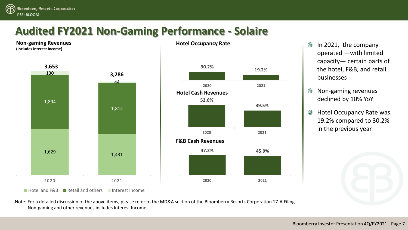### **Audited FY2021 Non-Gaming Performance - Solaire**

**Non-gaming Revenues (Includes Interest Income)**





- **Hotel Occupancy Rate In 2021, the company** operated —with limited capacity— certain parts of the hotel, F&B, and retail businesses
	- ⊕ Non-gaming revenues declined by 10% YoY
	- ⊕ Hotel Occupancy Rate was 19.2% compared to 30.2% in the previous year



■ Hotel and F&B ■ Retail and others ■ Interest Income

Note: For a detailed discussion of the above items, please refer to the MD&A section of the Bloomberry Resorts Corporation 17-A Filing Non-gaming and other revenues includes Interest Income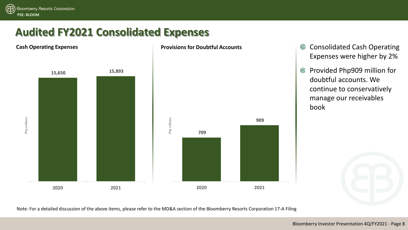#### **Audited FY2021 Consolidated Expenses**



- Expenses were higher by 2%
- Provided Php909 million for ௵ doubtful accounts. We continue to conservatively manage our receivables book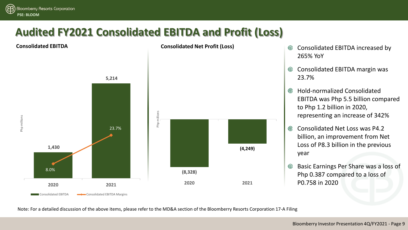## **Audited FY2021 Consolidated EBITDA and Profit (Loss)**



- 265% YoY
- Consolidated EBITDA margin was **⊕** 23.7%
- Hold-normalized Consolidated ௵ EBITDA was Php 5.5 billion compared to Php 1.2 billion in 2020, representing an increase of 342%
- ඹ Consolidated Net Loss was P4.2 billion, an improvement from Net Loss of P8.3 billion in the previous year
- Basic Earnings Per Share was a loss of ௵ Php 0.387 compared to a loss of P0.758 in 2020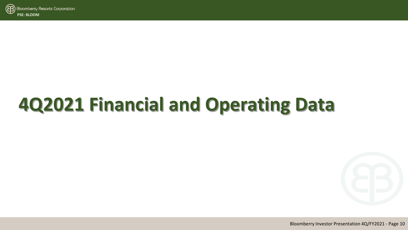

# **4Q2021 Financial and Operating Data**

Bloomberry Investor Presentation 4Q/FY2021 - Page 10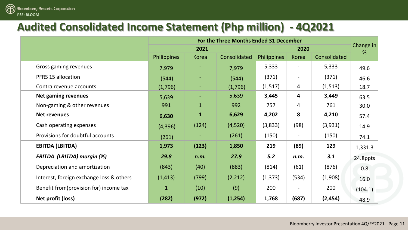#### **Audited Consolidated Income Statement (Php million) - 4Q2021**

|                                          | For the Three Months Ended 31 December |              |              |             |                |              |                |  |  |
|------------------------------------------|----------------------------------------|--------------|--------------|-------------|----------------|--------------|----------------|--|--|
|                                          |                                        | 2021         |              |             | 2020           |              | Change in<br>% |  |  |
|                                          | Philippines                            | Korea        | Consolidated | Philippines | Korea          | Consolidated |                |  |  |
| Gross gaming revenues                    | 7,979                                  |              | 7,979        | 5,333       |                | 5,333        | 49.6           |  |  |
| <b>PFRS 15 allocation</b>                | (544)                                  |              | (544)        | (371)       |                | (371)        | 46.6           |  |  |
| Contra revenue accounts                  | (1,796)                                | $\equiv$     | (1,796)      | (1, 517)    | $\overline{4}$ | (1, 513)     | 18.7           |  |  |
| <b>Net gaming revenues</b>               | 5,639                                  |              | 5,639        | 3,445       | 4              | 3,449        | 63.5           |  |  |
| Non-gaming & other revenues              | 991                                    | $\mathbf{1}$ | 992          | 757         | $\overline{4}$ | 761          | 30.0           |  |  |
| <b>Net revenues</b>                      | 6,630                                  | $\mathbf{1}$ | 6,629        | 4,202       | 8              | 4,210        | 57.4           |  |  |
| Cash operating expenses                  | (4,396)                                | (124)        | (4,520)      | (3,833)     | (98)           | (3,931)      | 14.9           |  |  |
| Provisions for doubtful accounts         | (261)                                  |              | (261)        | (150)       |                | (150)        | 74.1           |  |  |
| <b>EBITDA (LBITDA)</b>                   | 1,973                                  | (123)        | 1,850        | 219         | (89)           | 129          | 1,331.3        |  |  |
| <b>EBITDA (LBITDA) margin (%)</b>        | 29.8                                   | n.m.         | 27.9         | 5.2         | n.m.           | 3.1          | 24.8ppts       |  |  |
| Depreciation and amortization            | (843)                                  | (40)         | (883)        | (814)       | (61)           | (876)        | 0.8            |  |  |
| Interest, foreign exchange loss & others | (1, 413)                               | (799)        | (2, 212)     | (1, 373)    | (534)          | (1,908)      | 16.0           |  |  |
| Benefit from(provision for) income tax   | $\mathbf{1}$                           | (10)         | (9)          | 200         |                | 200          | (104.1)        |  |  |
| Net profit (loss)                        | (282)                                  | (972)        | (1,254)      | 1,768       | (687)          | (2, 454)     | 48.9           |  |  |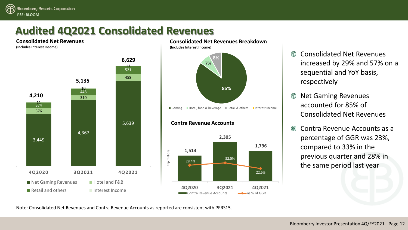#### **Audited 4Q2021 Consolidated Revenues**

**Consolidated Net Revenues (Includes Interest Income)**





**Contra Revenue Accounts**



- **®** Consolidated Net Revenues increased by 29% and 57% on a sequential and YoY basis, respectively
- $^{\circledR}$ Net Gaming Revenues accounted for 85% of Consolidated Net Revenues
- Contra Revenue Accounts as a **®** percentage of GGR was 23%, compared to 33% in the previous quarter and 28% in the same period last year

Note: Consolidated Net Revenues and Contra Revenue Accounts as reported are consistent with PFRS15.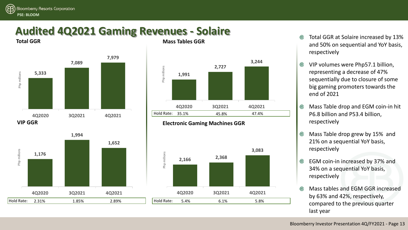**Total GGR**

## **Audited 4Q2021 Gaming Revenues - Solaire**





**Mass Tables GGR**



**Electronic Gaming Machines GGR**



- Total GGR at Solaire increased by 13% and 50% on sequential and YoY basis, respectively
- VIP volumes were Php57.1 billion, ⊕ representing a decrease of 47% sequentially due to closure of some big gaming promoters towards the end of 2021
- Mass Table drop and EGM coin-in hit  $^{\circledR}$ P6.8 billion and P53.4 billion, respectively
- Mass Table drop grew by 15% and ⊕ 21% on a sequential YoY basis, respectively
- EGM coin-in increased by 37% and ௵ 34% on a sequential YoY basis, respectively
- Mass tables and EGM GGR increased by 63% and 42%, respectively, compared to the previous quarter last year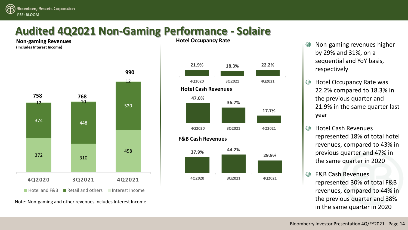### **Audited 4Q2021 Non-Gaming Performance - Solaire**

**Non-gaming Revenues (Includes Interest Income)**



Note: Non-gaming and other revenues includes Interest Income



- **Hotel Occupancy Rate Non-gaming revenues higher** by 29% and 31%, on a sequential and YoY basis, respectively
	- Hotel Occupancy Rate was ௵ 22.2% compared to 18.3% in the previous quarter and 21.9% in the same quarter last year
	- Hotel Cash Revenues ௵ represented 18% of total hotel revenues, compared to 43% in previous quarter and 47% in the same quarter in 2020
	- ௵ F&B Cash Revenues represented 30% of total F&B revenues, compared to 44% in the previous quarter and 38% in the same quarter in 2020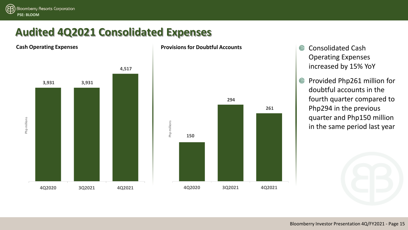

#### **Audited 4Q2021 Consolidated Expenses**



#### **Cash Operating Expenses Provisions for Doubtful Accounts Quarter Accounts Consolidated Cash**



- Operating Expenses increased by 15% YoY
- Provided Php261 million for ⊕ doubtful accounts in the fourth quarter compared to Php294 in the previous quarter and Php150 million in the same period last year

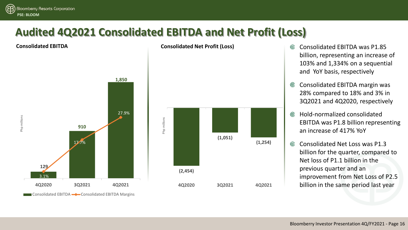

### **Audited 4Q2021 Consolidated EBITDA and Net Profit (Loss)**





- **Consolidated EBITDA Consolidated Net Profit (Loss) Consolidated Net Profit (Loss) Consolidated EBITDA** was P1.85 billion, representing an increase of 103% and 1,334% on a sequential and YoY basis, respectively
	- Consolidated EBITDA margin was ௵ 28% compared to 18% and 3% in 3Q2021 and 4Q2020, respectively
	- Hold-normalized consolidated ௵ EBITDA was P1.8 billion representing an increase of 417% YoY
	- ௵ Consolidated Net Loss was P1.3 billion for the quarter, compared to Net loss of P1.1 billion in the previous quarter and an improvement from Net Loss of P2.5 billion in the same period last year